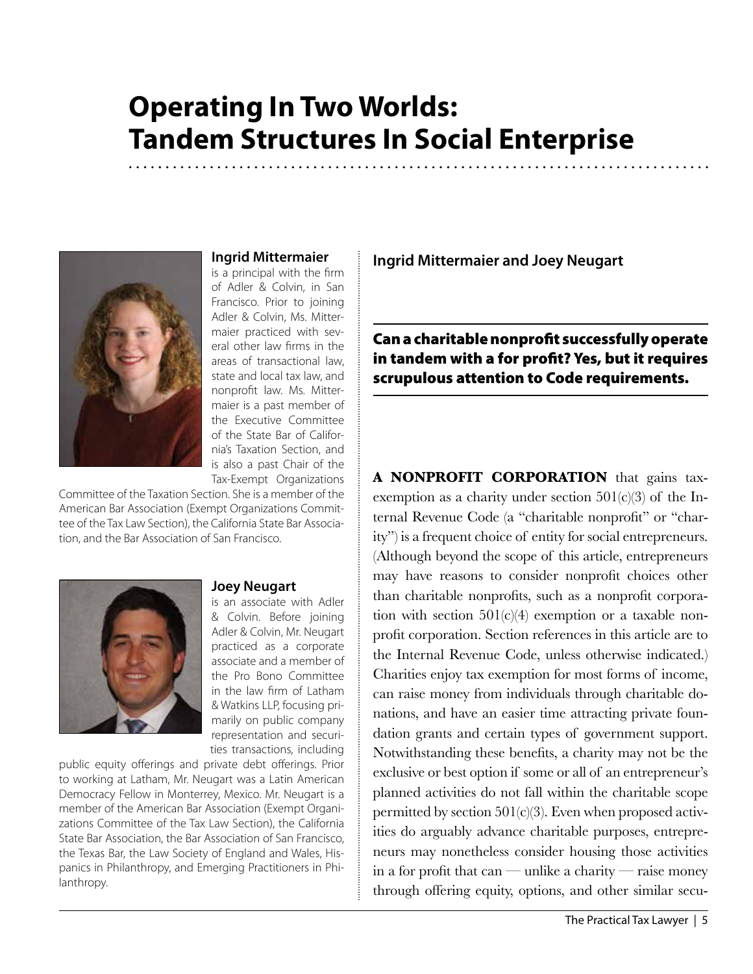# **Operating In Two Worlds: Tandem Structures In Social Enterprise**



### **Ingrid Mittermaier**

is a principal with the firm of Adler & Colvin, in San Francisco. Prior to joining Adler & Colvin, Ms. Mittermaier practiced with several other law firms in the areas of transactional law, state and local tax law, and nonprofit law. Ms. Mittermaier is a past member of the Executive Committee of the State Bar of California's Taxation Section, and is also a past Chair of the Tax-Exempt Organizations

Committee of the Taxation Section. She is a member of the American Bar Association (Exempt Organizations Committee of the Tax Law Section), the California State Bar Association, and the Bar Association of San Francisco.



#### **Joey Neugart**

is an associate with Adler & Colvin. Before joining Adler & Colvin, Mr. Neugart practiced as a corporate associate and a member of the Pro Bono Committee in the law firm of Latham & Watkins LLP, focusing primarily on public company representation and securities transactions, including

public equity offerings and private debt offerings. Prior to working at Latham, Mr. Neugart was a Latin American Democracy Fellow in Monterrey, Mexico. Mr. Neugart is a member of the American Bar Association (Exempt Organizations Committee of the Tax Law Section), the California State Bar Association, the Bar Association of San Francisco, the Texas Bar, the Law Society of England and Wales, Hispanics in Philanthropy, and Emerging Practitioners in Philanthropy.

**Ingrid Mittermaier and Joey Neugart**

Can a charitable nonprofit successfully operate in tandem with a for profit? Yes, but it requires scrupulous attention to Code requirements.

A **NONPROFIT CORPORATION** that gains taxexemption as a charity under section  $501(c)(3)$  of the Internal Revenue Code (a "charitable nonprofit" or "charity") is a frequent choice of entity for social entrepreneurs. (Although beyond the scope of this article, entrepreneurs may have reasons to consider nonprofit choices other than charitable nonprofits, such as a nonprofit corporation with section  $501(c)(4)$  exemption or a taxable nonprofit corporation. Section references in this article are to the Internal Revenue Code, unless otherwise indicated.) Charities enjoy tax exemption for most forms of income, can raise money from individuals through charitable donations, and have an easier time attracting private foundation grants and certain types of government support. Notwithstanding these benefits, a charity may not be the exclusive or best option if some or all of an entrepreneur's planned activities do not fall within the charitable scope permitted by section  $501(c)(3)$ . Even when proposed activities do arguably advance charitable purposes, entrepreneurs may nonetheless consider housing those activities in a for profit that can — unlike a charity — raise money through offering equity, options, and other similar secu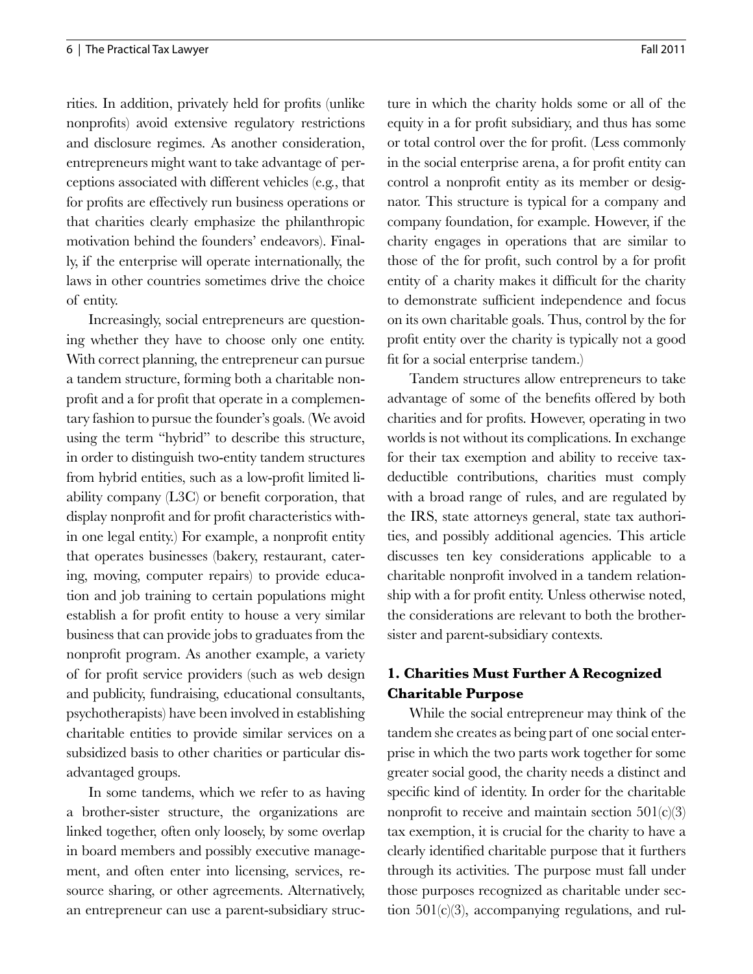rities. In addition, privately held for profits (unlike nonprofits) avoid extensive regulatory restrictions and disclosure regimes. As another consideration, entrepreneurs might want to take advantage of perceptions associated with different vehicles (e.g., that for profits are effectively run business operations or that charities clearly emphasize the philanthropic motivation behind the founders' endeavors). Finally, if the enterprise will operate internationally, the laws in other countries sometimes drive the choice of entity.

Increasingly, social entrepreneurs are questioning whether they have to choose only one entity. With correct planning, the entrepreneur can pursue a tandem structure, forming both a charitable nonprofit and a for profit that operate in a complementary fashion to pursue the founder's goals. (We avoid using the term "hybrid" to describe this structure, in order to distinguish two-entity tandem structures from hybrid entities, such as a low-profit limited liability company (L3C) or benefit corporation, that display nonprofit and for profit characteristics within one legal entity.) For example, a nonprofit entity that operates businesses (bakery, restaurant, catering, moving, computer repairs) to provide education and job training to certain populations might establish a for profit entity to house a very similar business that can provide jobs to graduates from the nonprofit program. As another example, a variety of for profit service providers (such as web design and publicity, fundraising, educational consultants, psychotherapists) have been involved in establishing charitable entities to provide similar services on a subsidized basis to other charities or particular disadvantaged groups.

In some tandems, which we refer to as having a brother-sister structure, the organizations are linked together, often only loosely, by some overlap in board members and possibly executive management, and often enter into licensing, services, resource sharing, or other agreements. Alternatively, an entrepreneur can use a parent-subsidiary structure in which the charity holds some or all of the equity in a for profit subsidiary, and thus has some or total control over the for profit. (Less commonly in the social enterprise arena, a for profit entity can control a nonprofit entity as its member or designator. This structure is typical for a company and company foundation, for example. However, if the charity engages in operations that are similar to those of the for profit, such control by a for profit entity of a charity makes it difficult for the charity to demonstrate sufficient independence and focus on its own charitable goals. Thus, control by the for profit entity over the charity is typically not a good fit for a social enterprise tandem.)

Tandem structures allow entrepreneurs to take advantage of some of the benefits offered by both charities and for profits. However, operating in two worlds is not without its complications. In exchange for their tax exemption and ability to receive taxdeductible contributions, charities must comply with a broad range of rules, and are regulated by the IRS, state attorneys general, state tax authorities, and possibly additional agencies. This article discusses ten key considerations applicable to a charitable nonprofit involved in a tandem relationship with a for profit entity. Unless otherwise noted, the considerations are relevant to both the brothersister and parent-subsidiary contexts.

## **1. Charities Must Further A Recognized Charitable Purpose**

While the social entrepreneur may think of the tandem she creates as being part of one social enterprise in which the two parts work together for some greater social good, the charity needs a distinct and specific kind of identity. In order for the charitable nonprofit to receive and maintain section  $501(c)(3)$ tax exemption, it is crucial for the charity to have a clearly identified charitable purpose that it furthers through its activities. The purpose must fall under those purposes recognized as charitable under section  $501(c)(3)$ , accompanying regulations, and rul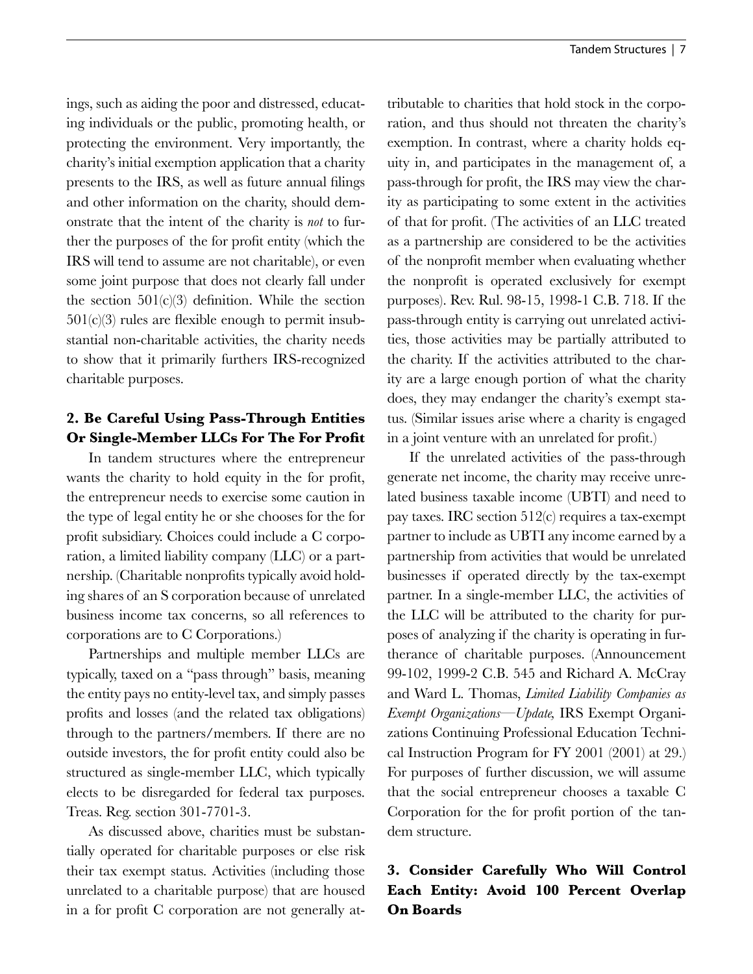ings, such as aiding the poor and distressed, educating individuals or the public, promoting health, or protecting the environment. Very importantly, the charity's initial exemption application that a charity presents to the IRS, as well as future annual filings and other information on the charity, should demonstrate that the intent of the charity is *not* to further the purposes of the for profit entity (which the IRS will tend to assume are not charitable), or even some joint purpose that does not clearly fall under the section  $501(c)(3)$  definition. While the section  $501(c)(3)$  rules are flexible enough to permit insubstantial non-charitable activities, the charity needs to show that it primarily furthers IRS-recognized charitable purposes.

## **2. Be Careful Using Pass-Through Entities Or Single-Member LLCs For The For Profit**

In tandem structures where the entrepreneur wants the charity to hold equity in the for profit, the entrepreneur needs to exercise some caution in the type of legal entity he or she chooses for the for profit subsidiary. Choices could include a C corporation, a limited liability company (LLC) or a partnership. (Charitable nonprofits typically avoid holding shares of an S corporation because of unrelated business income tax concerns, so all references to corporations are to C Corporations.)

Partnerships and multiple member LLCs are typically, taxed on a "pass through" basis, meaning the entity pays no entity-level tax, and simply passes profits and losses (and the related tax obligations) through to the partners/members. If there are no outside investors, the for profit entity could also be structured as single-member LLC, which typically elects to be disregarded for federal tax purposes. Treas. Reg. section 301-7701-3.

As discussed above, charities must be substantially operated for charitable purposes or else risk their tax exempt status. Activities (including those unrelated to a charitable purpose) that are housed in a for profit C corporation are not generally attributable to charities that hold stock in the corporation, and thus should not threaten the charity's exemption. In contrast, where a charity holds equity in, and participates in the management of, a pass-through for profit, the IRS may view the charity as participating to some extent in the activities of that for profit. (The activities of an LLC treated as a partnership are considered to be the activities of the nonprofit member when evaluating whether the nonprofit is operated exclusively for exempt purposes). Rev. Rul. 98-15, 1998-1 C.B. 718. If the pass-through entity is carrying out unrelated activities, those activities may be partially attributed to the charity. If the activities attributed to the charity are a large enough portion of what the charity does, they may endanger the charity's exempt status. (Similar issues arise where a charity is engaged in a joint venture with an unrelated for profit.)

If the unrelated activities of the pass-through generate net income, the charity may receive unrelated business taxable income (UBTI) and need to pay taxes. IRC section 512(c) requires a tax-exempt partner to include as UBTI any income earned by a partnership from activities that would be unrelated businesses if operated directly by the tax-exempt partner. In a single-member LLC, the activities of the LLC will be attributed to the charity for purposes of analyzing if the charity is operating in furtherance of charitable purposes. (Announcement 99-102, 1999-2 C.B. 545 and Richard A. McCray and Ward L. Thomas, *Limited Liability Companies as Exempt Organizations—Update,* IRS Exempt Organizations Continuing Professional Education Technical Instruction Program for FY 2001 (2001) at 29.) For purposes of further discussion, we will assume that the social entrepreneur chooses a taxable C Corporation for the for profit portion of the tandem structure.

## **3. Consider Carefully Who Will Control Each Entity: Avoid 100 Percent Overlap On Boards**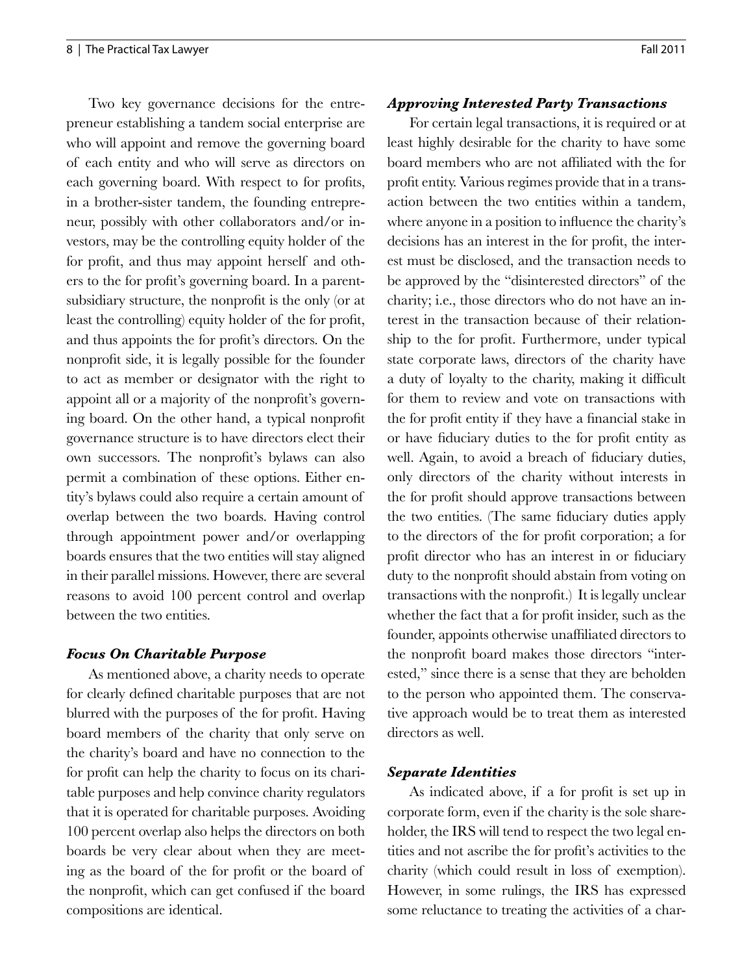Two key governance decisions for the entrepreneur establishing a tandem social enterprise are who will appoint and remove the governing board of each entity and who will serve as directors on each governing board. With respect to for profits, in a brother-sister tandem, the founding entrepreneur, possibly with other collaborators and/or investors, may be the controlling equity holder of the for profit, and thus may appoint herself and others to the for profit's governing board. In a parentsubsidiary structure, the nonprofit is the only (or at least the controlling) equity holder of the for profit, and thus appoints the for profit's directors. On the nonprofit side, it is legally possible for the founder to act as member or designator with the right to appoint all or a majority of the nonprofit's governing board. On the other hand, a typical nonprofit governance structure is to have directors elect their own successors. The nonprofit's bylaws can also permit a combination of these options. Either entity's bylaws could also require a certain amount of overlap between the two boards. Having control through appointment power and/or overlapping boards ensures that the two entities will stay aligned in their parallel missions. However, there are several reasons to avoid 100 percent control and overlap between the two entities.

#### *Focus On Charitable Purpose*

As mentioned above, a charity needs to operate for clearly defined charitable purposes that are not blurred with the purposes of the for profit. Having board members of the charity that only serve on the charity's board and have no connection to the for profit can help the charity to focus on its charitable purposes and help convince charity regulators that it is operated for charitable purposes. Avoiding 100 percent overlap also helps the directors on both boards be very clear about when they are meeting as the board of the for profit or the board of the nonprofit, which can get confused if the board compositions are identical.

#### *Approving Interested Party Transactions*

For certain legal transactions, it is required or at least highly desirable for the charity to have some board members who are not affiliated with the for profit entity. Various regimes provide that in a transaction between the two entities within a tandem, where anyone in a position to influence the charity's decisions has an interest in the for profit, the interest must be disclosed, and the transaction needs to be approved by the "disinterested directors" of the charity; i.e., those directors who do not have an interest in the transaction because of their relationship to the for profit. Furthermore, under typical state corporate laws, directors of the charity have a duty of loyalty to the charity, making it difficult for them to review and vote on transactions with the for profit entity if they have a financial stake in or have fiduciary duties to the for profit entity as well. Again, to avoid a breach of fiduciary duties, only directors of the charity without interests in the for profit should approve transactions between the two entities. (The same fiduciary duties apply to the directors of the for profit corporation; a for profit director who has an interest in or fiduciary duty to the nonprofit should abstain from voting on transactions with the nonprofit.) It is legally unclear whether the fact that a for profit insider, such as the founder, appoints otherwise unaffiliated directors to the nonprofit board makes those directors "interested," since there is a sense that they are beholden to the person who appointed them. The conservative approach would be to treat them as interested directors as well.

#### *Separate Identities*

As indicated above, if a for profit is set up in corporate form, even if the charity is the sole shareholder, the IRS will tend to respect the two legal entities and not ascribe the for profit's activities to the charity (which could result in loss of exemption). However, in some rulings, the IRS has expressed some reluctance to treating the activities of a char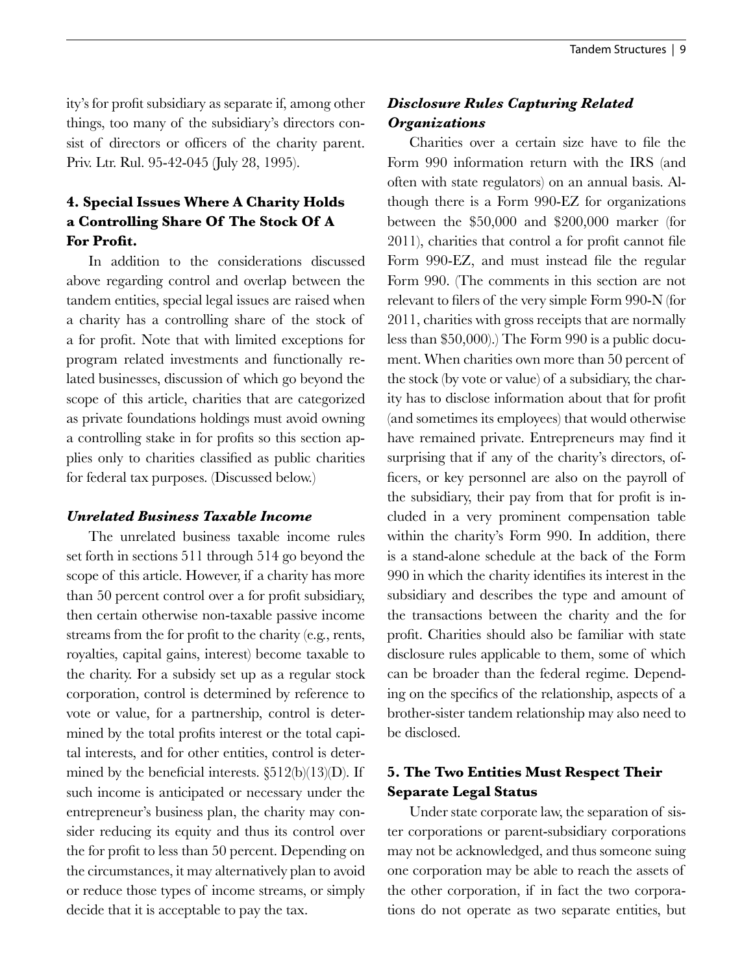ity's for profit subsidiary as separate if, among other things, too many of the subsidiary's directors consist of directors or officers of the charity parent. Priv. Ltr. Rul. 95-42-045 (July 28, 1995).

## **4. Special Issues Where A Charity Holds a Controlling Share Of The Stock Of A For Profit.**

In addition to the considerations discussed above regarding control and overlap between the tandem entities, special legal issues are raised when a charity has a controlling share of the stock of a for profit. Note that with limited exceptions for program related investments and functionally related businesses, discussion of which go beyond the scope of this article, charities that are categorized as private foundations holdings must avoid owning a controlling stake in for profits so this section applies only to charities classified as public charities for federal tax purposes. (Discussed below.)

#### *Unrelated Business Taxable Income*

The unrelated business taxable income rules set forth in sections 511 through 514 go beyond the scope of this article. However, if a charity has more than 50 percent control over a for profit subsidiary, then certain otherwise non-taxable passive income streams from the for profit to the charity (e.g., rents, royalties, capital gains, interest) become taxable to the charity. For a subsidy set up as a regular stock corporation, control is determined by reference to vote or value, for a partnership, control is determined by the total profits interest or the total capital interests, and for other entities, control is determined by the beneficial interests.  $\S512(b)(13)(D)$ . If such income is anticipated or necessary under the entrepreneur's business plan, the charity may consider reducing its equity and thus its control over the for profit to less than 50 percent. Depending on the circumstances, it may alternatively plan to avoid or reduce those types of income streams, or simply decide that it is acceptable to pay the tax.

## *Disclosure Rules Capturing Related Organizations*

Charities over a certain size have to file the Form 990 information return with the IRS (and often with state regulators) on an annual basis. Although there is a Form 990-EZ for organizations between the \$50,000 and \$200,000 marker (for 2011), charities that control a for profit cannot file Form 990-EZ, and must instead file the regular Form 990. (The comments in this section are not relevant to filers of the very simple Form 990-N (for 2011, charities with gross receipts that are normally less than \$50,000).) The Form 990 is a public document. When charities own more than 50 percent of the stock (by vote or value) of a subsidiary, the charity has to disclose information about that for profit (and sometimes its employees) that would otherwise have remained private. Entrepreneurs may find it surprising that if any of the charity's directors, officers, or key personnel are also on the payroll of the subsidiary, their pay from that for profit is included in a very prominent compensation table within the charity's Form 990. In addition, there is a stand-alone schedule at the back of the Form 990 in which the charity identifies its interest in the subsidiary and describes the type and amount of the transactions between the charity and the for profit. Charities should also be familiar with state disclosure rules applicable to them, some of which can be broader than the federal regime. Depending on the specifics of the relationship, aspects of a brother-sister tandem relationship may also need to be disclosed.

## **5. The Two Entities Must Respect Their Separate Legal Status**

Under state corporate law, the separation of sister corporations or parent-subsidiary corporations may not be acknowledged, and thus someone suing one corporation may be able to reach the assets of the other corporation, if in fact the two corporations do not operate as two separate entities, but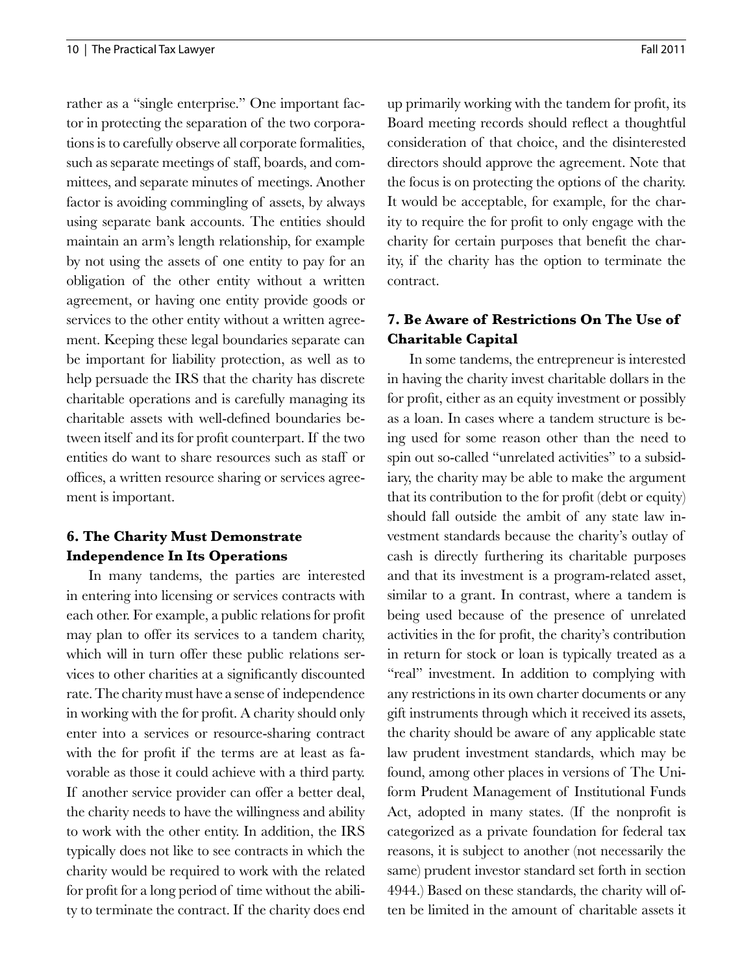rather as a "single enterprise." One important factor in protecting the separation of the two corporations is to carefully observe all corporate formalities, such as separate meetings of staff, boards, and committees, and separate minutes of meetings. Another factor is avoiding commingling of assets, by always using separate bank accounts. The entities should maintain an arm's length relationship, for example by not using the assets of one entity to pay for an obligation of the other entity without a written agreement, or having one entity provide goods or services to the other entity without a written agreement. Keeping these legal boundaries separate can be important for liability protection, as well as to help persuade the IRS that the charity has discrete charitable operations and is carefully managing its charitable assets with well-defined boundaries between itself and its for profit counterpart. If the two entities do want to share resources such as staff or offices, a written resource sharing or services agreement is important.

## **6. The Charity Must Demonstrate Independence In Its Operations**

In many tandems, the parties are interested in entering into licensing or services contracts with each other. For example, a public relations for profit may plan to offer its services to a tandem charity, which will in turn offer these public relations services to other charities at a significantly discounted rate. The charity must have a sense of independence in working with the for profit. A charity should only enter into a services or resource-sharing contract with the for profit if the terms are at least as favorable as those it could achieve with a third party. If another service provider can offer a better deal, the charity needs to have the willingness and ability to work with the other entity. In addition, the IRS typically does not like to see contracts in which the charity would be required to work with the related for profit for a long period of time without the ability to terminate the contract. If the charity does end up primarily working with the tandem for profit, its Board meeting records should reflect a thoughtful consideration of that choice, and the disinterested directors should approve the agreement. Note that the focus is on protecting the options of the charity. It would be acceptable, for example, for the charity to require the for profit to only engage with the charity for certain purposes that benefit the charity, if the charity has the option to terminate the contract.

## **7. Be Aware of Restrictions On The Use of Charitable Capital**

In some tandems, the entrepreneur is interested in having the charity invest charitable dollars in the for profit, either as an equity investment or possibly as a loan. In cases where a tandem structure is being used for some reason other than the need to spin out so-called "unrelated activities" to a subsidiary, the charity may be able to make the argument that its contribution to the for profit (debt or equity) should fall outside the ambit of any state law investment standards because the charity's outlay of cash is directly furthering its charitable purposes and that its investment is a program-related asset, similar to a grant. In contrast, where a tandem is being used because of the presence of unrelated activities in the for profit, the charity's contribution in return for stock or loan is typically treated as a "real" investment. In addition to complying with any restrictions in its own charter documents or any gift instruments through which it received its assets, the charity should be aware of any applicable state law prudent investment standards, which may be found, among other places in versions of The Uniform Prudent Management of Institutional Funds Act, adopted in many states. (If the nonprofit is categorized as a private foundation for federal tax reasons, it is subject to another (not necessarily the same) prudent investor standard set forth in section 4944.) Based on these standards, the charity will often be limited in the amount of charitable assets it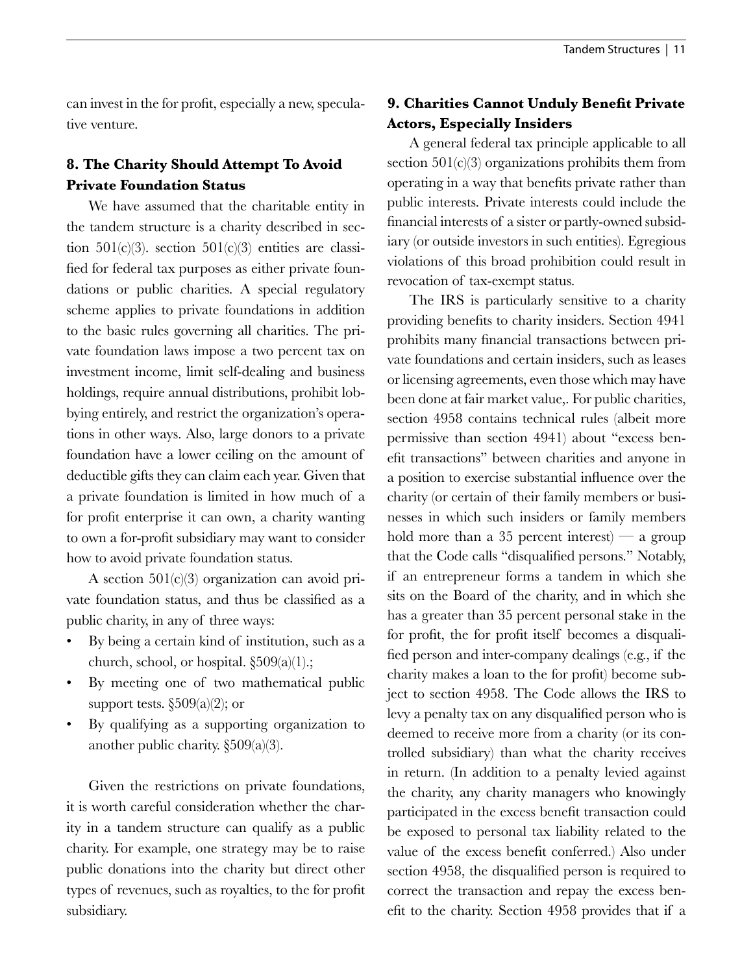can invest in the for profit, especially a new, speculative venture.

## **8. The Charity Should Attempt To Avoid Private Foundation Status**

We have assumed that the charitable entity in the tandem structure is a charity described in section 501(c)(3). section 501(c)(3) entities are classified for federal tax purposes as either private foundations or public charities. A special regulatory scheme applies to private foundations in addition to the basic rules governing all charities. The private foundation laws impose a two percent tax on investment income, limit self-dealing and business holdings, require annual distributions, prohibit lobbying entirely, and restrict the organization's operations in other ways. Also, large donors to a private foundation have a lower ceiling on the amount of deductible gifts they can claim each year. Given that a private foundation is limited in how much of a for profit enterprise it can own, a charity wanting to own a for-profit subsidiary may want to consider how to avoid private foundation status.

A section 501(c)(3) organization can avoid private foundation status, and thus be classified as a public charity, in any of three ways:

- By being a certain kind of institution, such as a church, school, or hospital. §509(a)(1).;
- By meeting one of two mathematical public support tests.  $\S509(a)(2)$ ; or
- By qualifying as a supporting organization to another public charity. §509(a)(3).

Given the restrictions on private foundations, it is worth careful consideration whether the charity in a tandem structure can qualify as a public charity. For example, one strategy may be to raise public donations into the charity but direct other types of revenues, such as royalties, to the for profit subsidiary.

## **9. Charities Cannot Unduly Benefit Private Actors, Especially Insiders**

A general federal tax principle applicable to all section  $501(c)(3)$  organizations prohibits them from operating in a way that benefits private rather than public interests. Private interests could include the financial interests of a sister or partly-owned subsidiary (or outside investors in such entities). Egregious violations of this broad prohibition could result in revocation of tax-exempt status.

The IRS is particularly sensitive to a charity providing benefits to charity insiders. Section 4941 prohibits many financial transactions between private foundations and certain insiders, such as leases or licensing agreements, even those which may have been done at fair market value,. For public charities, section 4958 contains technical rules (albeit more permissive than section 4941) about "excess benefit transactions" between charities and anyone in a position to exercise substantial influence over the charity (or certain of their family members or businesses in which such insiders or family members hold more than a 35 percent interest) — a group that the Code calls "disqualified persons." Notably, if an entrepreneur forms a tandem in which she sits on the Board of the charity, and in which she has a greater than 35 percent personal stake in the for profit, the for profit itself becomes a disqualified person and inter-company dealings (e.g., if the charity makes a loan to the for profit) become subject to section 4958. The Code allows the IRS to levy a penalty tax on any disqualified person who is deemed to receive more from a charity (or its controlled subsidiary) than what the charity receives in return. (In addition to a penalty levied against the charity, any charity managers who knowingly participated in the excess benefit transaction could be exposed to personal tax liability related to the value of the excess benefit conferred.) Also under section 4958, the disqualified person is required to correct the transaction and repay the excess benefit to the charity. Section 4958 provides that if a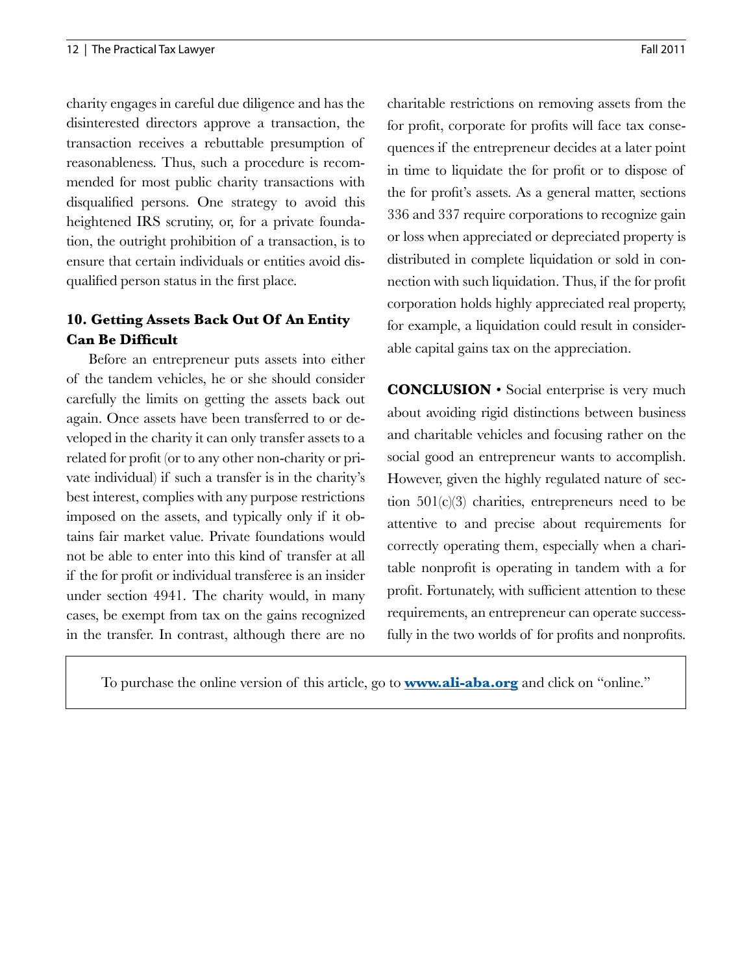charity engages in careful due diligence and has the disinterested directors approve a transaction, the transaction receives a rebuttable presumption of reasonableness. Thus, such a procedure is recommended for most public charity transactions with disqualified persons. One strategy to avoid this heightened IRS scrutiny, or, for a private foundation, the outright prohibition of a transaction, is to ensure that certain individuals or entities avoid disqualified person status in the first place.

## **10. Getting Assets Back Out Of An Entity Can Be Difficult**

Before an entrepreneur puts assets into either of the tandem vehicles, he or she should consider carefully the limits on getting the assets back out again. Once assets have been transferred to or developed in the charity it can only transfer assets to a related for profit (or to any other non-charity or private individual) if such a transfer is in the charity's best interest, complies with any purpose restrictions imposed on the assets, and typically only if it obtains fair market value. Private foundations would not be able to enter into this kind of transfer at all if the for profit or individual transferee is an insider under section 4941. The charity would, in many cases, be exempt from tax on the gains recognized in the transfer. In contrast, although there are no

charitable restrictions on removing assets from the for profit, corporate for profits will face tax consequences if the entrepreneur decides at a later point in time to liquidate the for profit or to dispose of the for profit's assets. As a general matter, sections 336 and 337 require corporations to recognize gain or loss when appreciated or depreciated property is distributed in complete liquidation or sold in connection with such liquidation. Thus, if the for profit corporation holds highly appreciated real property, for example, a liquidation could result in considerable capital gains tax on the appreciation.

**CONCLUSION** • Social enterprise is very much about avoiding rigid distinctions between business and charitable vehicles and focusing rather on the social good an entrepreneur wants to accomplish. However, given the highly regulated nature of section 501(c)(3) charities, entrepreneurs need to be attentive to and precise about requirements for correctly operating them, especially when a charitable nonprofit is operating in tandem with a for profit. Fortunately, with sufficient attention to these requirements, an entrepreneur can operate successfully in the two worlds of for profits and nonprofits.

To purchase the online version of this article, go to **<www.ali-aba.org>** and click on "online."